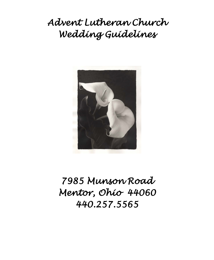*Advent Lutheran Church Wedding Guidelines* 



*7985 Munson Road Mentor, Ohio 44060 440.257.5565*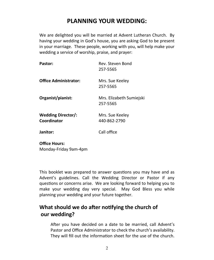# **PLANNING YOUR WEDDING:**

We are delighted you will be married at Advent Lutheran Church. By having your wedding in God's house, you are asking God to be present in your marriage. These people, working with you, will help make your wedding a service of worship, praise, and prayer:

| Pastor:                                  | Rev. Steven Bond<br>257-5565         |
|------------------------------------------|--------------------------------------|
| <b>Office Administrator:</b>             | Mrs. Sue Keeley<br>257-5565          |
| Organist/pianist:                        | Mrs. Elizabeth Sumiejski<br>257-5565 |
| <b>Wedding Director/:</b><br>Coordinator | Mrs. Sue Keeley<br>440-862-2790      |
| Janitor:                                 | Call office                          |
| <b>Office Hours:</b>                     |                                      |

Monday-Friday 9am-4pm

This booklet was prepared to answer questions you may have and as Advent's guidelines. Call the Wedding Director or Pastor if any questions or concerns arise. We are looking forward to helping you to make your wedding day very special. May God Bless you while planning your wedding and your future together.

## **What should we do after notifying the church of our wedding?**

After you have decided on a date to be married, call Advent's Pastor and Office Administrator to check the church's availability. They will fill out the information sheet for the use of the church.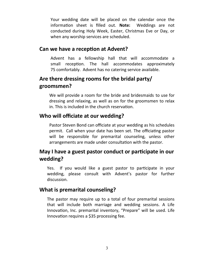Your wedding date will be placed on the calendar once the information sheet is filled out. **Note:** Weddings are not conducted during Holy Week, Easter, Christmas Eve or Day, or when any worship services are scheduled.

#### **Can we have a reception at Advent?**

Advent has a fellowship hall that will accommodate a small reception. The hall accommodates approximately 75 comfortably. Advent has no catering service available.

## **Are there dressing rooms for the bridal party/ groomsmen?**

We will provide a room for the bride and bridesmaids to use for dressing and relaxing, as well as on for the groomsmen to relax in. This is included in the church reservation.

### **Who will officiate at our wedding?**

Pastor Steven Bond can officiate at your wedding as his schedules permit. Call when your date has been set. The officiating pastor will be responsible for premarital counseling, unless other arrangements are made under consultation with the pastor.

## **May I have a guest pastor conduct or participate in our wedding?**

Yes. If you would like a guest pastor to participate in your wedding, please consult with Advent's pastor for further discussion.

## **What is premarital counseling?**

The pastor may require up to a total of four premarital sessions that will include both marriage and wedding sessions. A Life Innovation, Inc. premarital inventory, "Prepare" will be used. Life Innovation requires a \$35 processing fee.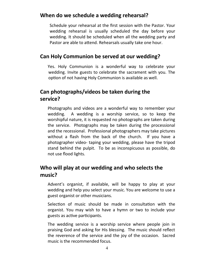## **When do we schedule a wedding rehearsal?**

Schedule your rehearsal at the first session with the Pastor. Your wedding rehearsal is usually scheduled the day before your wedding. It should be scheduled when all the wedding party and Pastor are able to attend. Rehearsals usually take one hour.

## **Can Holy Communion be served at our wedding?**

Yes. Holy Communion is a wonderful way to celebrate your wedding. Invite guests to celebrate the sacrament with you. The option of not having Holy Communion is available as well.

## **Can photographs/videos be taken during the service?**

Photographs and videos are a wonderful way to remember your wedding. A wedding is a worship service, so to keep the worshipful nature, it is requested no photographs are taken during the service. Photographs may be taken during the processional and the recessional. Professional photographers may take pictures without a flash from the back of the church. If you have a photographer video- taping your wedding, please have the tripod stand behind the pulpit. To be as inconspicuous as possible, do not use flood lights.

## **Who will play at our wedding and who selects the music?**

Advent's organist, if available, will be happy to play at your wedding and help you select your music. You are welcome to use a guest organist or other musicians.

Selection of music should be made in consultation with the organist. You may wish to have a hymn or two to include your guests as active participants.

The wedding service is a worship service where people join in praising God and asking for His blessing. The music should reflect the reverence of the service and the joy of the occasion. Sacred music is the recommended focus.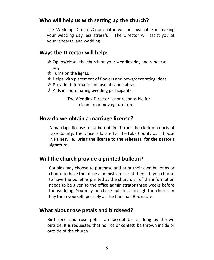### **Who will help us with setting up the church?**

The Wedding Director/Coordinator will be invaluable in making your wedding day less stressful. The Director will assist you at your rehearsal and wedding.

#### **Ways the Director will help:**

- $\star$  Opens/closes the church on your wedding day and rehearsal day.
- $\star$  Turns on the lights.
- $*$  Helps with placement of flowers and bows/decorating ideas.
- $*$  Provides information on use of candelabras.
- $\star$  Aids in coordinating wedding participants.

The Wedding Director is not responsible for clean up or moving furniture.

### **How do we obtain a marriage license?**

A marriage license must be obtained from the clerk of courts of Lake County. The office is located at the Lake County courthouse in Painesville. **Bring the license to the rehearsal for the pastor's signature.**

## **Will the church provide a printed bulletin?**

Couples may choose to purchase and print their own bulletins or choose to have the office administrator print them. If you choose to have the bulletins printed at the church, all of the information needs to be given to the office administrator three weeks before the wedding. You may purchase bulletins through the church or buy them yourself, possibly at The Christian Bookstore.

## **What about rose petals and birdseed?**

Bird seed and rose petals are acceptable as long as thrown outside. It is requested that no rice or confetti be thrown inside or outside of the church.